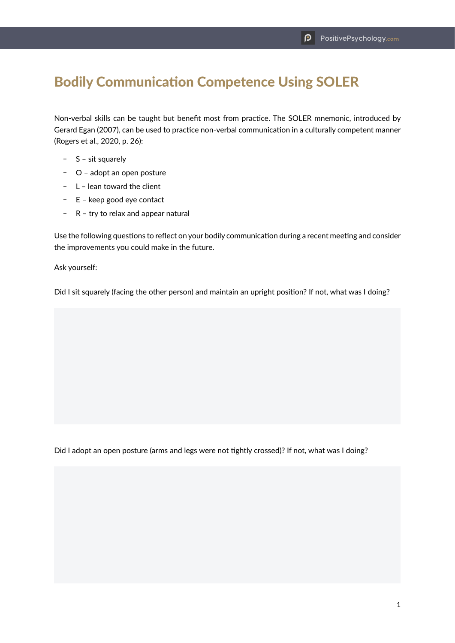## Bodily Communication Competence Using SOLER

Non-verbal skills can be taught but benefit most from practice. The SOLER mnemonic, introduced by Gerard Egan (2007), can be used to practice non-verbal communication in a culturally competent manner (Rogers et al., 2020, p. 26):

- $S -$  sit squarely
- O adopt an open posture
- $-L$  lean toward the client
- $E -$  E keep good eye contact
- $R -$  R try to relax and appear natural

Use the following questions to reflect on your bodily communication during a recent meeting and consider the improvements you could make in the future.

Ask yourself:

Did I sit squarely (facing the other person) and maintain an upright position? If not, what was I doing?

Did I adopt an open posture (arms and legs were not tightly crossed)? If not, what was I doing?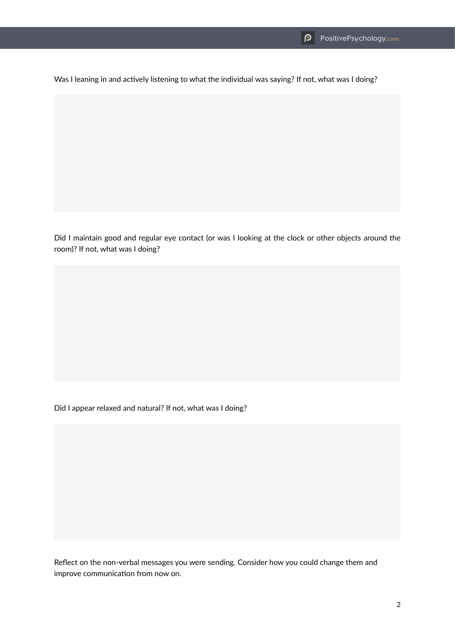Was I leaning in and actively listening to what the individual was saying? If not, what was I doing?

Did I maintain good and regular eye contact (or was I looking at the clock or other objects around the room)? If not, what was I doing?

Did I appear relaxed and natural? If not, what was I doing?

Reflect on the non-verbal messages you were sending. Consider how you could change them and improve communication from now on.